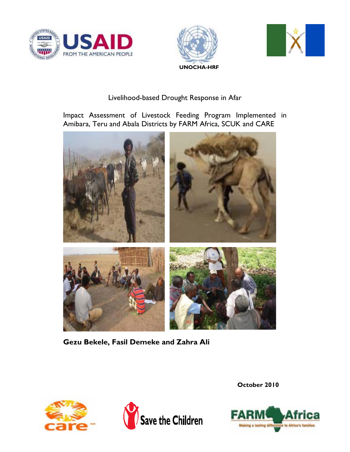





## Livelihood-based Drought Response in Afar

Impact Assessment of Livestock Feeding Program Implemented in Amibara, Teru and Abala Districts by FARM Africa, SCUK and CARE



**Gezu Bekele, Fasil Demeke and Zahra Ali** 





**October 2010** 

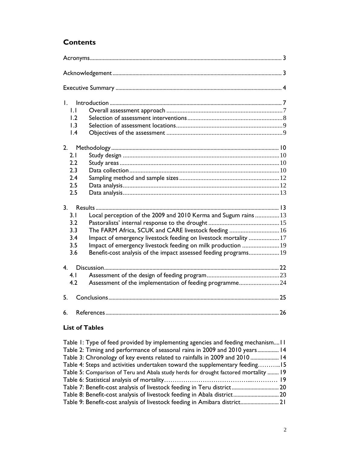# **Contents**

| $\mathbf{L}$    |                                                                  |  |
|-----------------|------------------------------------------------------------------|--|
| IJ              |                                                                  |  |
| 1.2             |                                                                  |  |
| 1.3             |                                                                  |  |
| $\mathsf{I}$ .4 |                                                                  |  |
| 2.              |                                                                  |  |
| 2.1             |                                                                  |  |
| 2.2             |                                                                  |  |
| 2.3             |                                                                  |  |
| 2.4             |                                                                  |  |
| 2.5             |                                                                  |  |
| 2.5             |                                                                  |  |
| 3.              |                                                                  |  |
| 3.1             | Local perception of the 2009 and 2010 Kerma and Sugum rains 13   |  |
| 3.2             |                                                                  |  |
| 3.3             | The FARM Africa, SCUK and CARE livestock feeding  16             |  |
| 3.4             | Impact of emergency livestock feeding on livestock mortality 17  |  |
| 3.5             | Impact of emergency livestock feeding on milk production  19     |  |
| 3.6             | Benefit-cost analysis of the impact assessed feeding programs 19 |  |
| 4.              | Discussion                                                       |  |
| 4.1             |                                                                  |  |
| 4.2             | Assessment of the implementation of feeding programme24          |  |
| 5.              |                                                                  |  |
| 6.              |                                                                  |  |

## **List of Tables**

| Table 1: Type of feed provided by implementing agencies and feeding mechanism11      |  |
|--------------------------------------------------------------------------------------|--|
| Table 2: Timing and performance of seasonal rains in 2009 and 2010 years 14          |  |
| Table 3: Chronology of key events related to rainfalls in 2009 and 2010  14          |  |
| Table 4: Steps and activities undertaken toward the supplementary feeding15          |  |
| Table 5: Comparison of Teru and Abala study herds for drought factored mortality  19 |  |
|                                                                                      |  |
| Table 7: Benefit-cost analysis of livestock feeding in Teru district 20              |  |
| Table 8: Benefit-cost analysis of livestock feeding in Abala district                |  |
| Table 9: Benefit-cost analysis of livestock feeding in Amibara district<br>21        |  |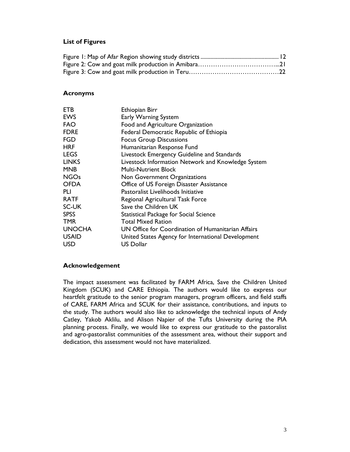#### **List of Figures**

#### **Acronyms**

| Ethiopian Birr                                     |
|----------------------------------------------------|
| Early Warning System                               |
| Food and Agriculture Organization                  |
| Federal Democratic Republic of Ethiopia            |
| <b>Focus Group Discussions</b>                     |
| Humanitarian Response Fund                         |
| Livestock Emergency Guideline and Standards        |
| Livestock Information Network and Knowledge System |
| <b>Multi-Nutrient Block</b>                        |
| Non Government Organizations                       |
| Office of US Foreign Disaster Assistance           |
| Pastoralist Livelihoods Initiative                 |
| Regional Agricultural Task Force                   |
| Save the Children UK                               |
| Statistical Package for Social Science             |
| <b>Total Mixed Ration</b>                          |
| UN Office for Coordination of Humanitarian Affairs |
| United States Agency for International Development |
| <b>US Dollar</b>                                   |
|                                                    |

### **Acknowledgement**

The impact assessment was facilitated by FARM Africa, Save the Children United Kingdom (SCUK) and CARE Ethiopia. The authors would like to express our heartfelt gratitude to the senior program managers, program officers, and field staffs of CARE, FARM Africa and SCUK for their assistance, contributions, and inputs to the study. The authors would also like to acknowledge the technical inputs of Andy Catley, Yakob Aklilu, and Alison Napier of the Tufts University during the PIA planning process. Finally, we would like to express our gratitude to the pastoralist and agro-pastoralist communities of the assessment area, without their support and dedication, this assessment would not have materialized.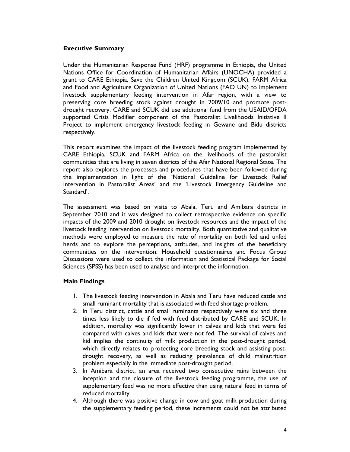#### **Executive Summary**

Under the Humanitarian Response Fund (HRF) programme in Ethiopia, the United Nations Office for Coordination of Humanitarian Affairs (UNOCHA) provided a grant to CARE Ethiopia, Save the Children United Kingdom (SCUK), FARM Africa and Food and Agriculture Organization of United Nations (FAO UN) to implement livestock supplementary feeding intervention in Afar region, with a view to preserving core breeding stock against drought in 2009/10 and promote postdrought recovery. CARE and SCUK did use additional fund from the USAID/OFDA supported Crisis Modifier component of the Pastoralist Livelihoods Initiative II Project to implement emergency livestock feeding in Gewane and Bidu districts respectively.

This report examines the impact of the livestock feeding program implemented by CARE Ethiopia, SCUK and FARM Africa on the livelihoods of the pastoralist communities that are living in seven districts of the Afar National Regional State. The report also explores the processes and procedures that have been followed during the implementation in light of the 'National Guideline for Livestock Relief Intervention in Pastoralist Areas' and the 'Livestock Emergency Guideline and Standard'.

The assessment was based on visits to Abala, Teru and Amibara districts in September 2010 and it was designed to collect retrospective evidence on specific impacts of the 2009 and 2010 drought on livestock resources and the impact of the livestock feeding intervention on livestock mortality. Both quantitative and qualitative methods were employed to measure the rate of mortality on both fed and unfed herds and to explore the perceptions, attitudes, and insights of the beneficiary communities on the intervention. Household questionnaires and Focus Group Discussions were used to collect the information and Statistical Package for Social Sciences (SPSS) has been used to analyse and interpret the information.

#### **Main Findings**

- 1. The livestock feeding intervention in Abala and Teru have reduced cattle and small ruminant mortality that is associated with feed shortage problem.
- 2. In Teru district, cattle and small ruminants respectively were six and three times less likely to die if fed with feed distributed by CARE and SCUK. In addition, mortality was significantly lower in calves and kids that were fed compared with calves and kids that were not fed. The survival of calves and kid implies the continuity of milk production in the post-drought period, which directly relates to protecting core breeding stock and assisting postdrought recovery, as well as reducing prevalence of child malnutrition problem especially in the immediate post-drought period.
- 3. In Amibara district, an area received two consecutive rains between the inception and the closure of the livestock feeding programme, the use of supplementary feed was no more effective than using natural feed in terms of reduced mortality.
- 4. Although there was positive change in cow and goat milk production during the supplementary feeding period, these increments could not be attributed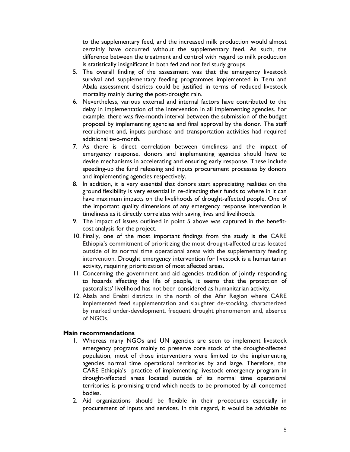to the supplementary feed, and the increased milk production would almost certainly have occurred without the supplementary feed. As such, the difference between the treatment and control with regard to milk production is statistically insignificant in both fed and not fed study groups.

- 5. The overall finding of the assessment was that the emergency livestock survival and supplementary feeding programmes implemented in Teru and Abala assessment districts could be justified in terms of reduced livestock mortality mainly during the post-drought rain.
- 6. Nevertheless, various external and internal factors have contributed to the delay in implementation of the intervention in all implementing agencies. For example, there was five-month interval between the submission of the budget proposal by implementing agencies and final approval by the donor. The staff recruitment and, inputs purchase and transportation activities had required additional two-month.
- 7. As there is direct correlation between timeliness and the impact of emergency response, donors and implementing agencies should have to devise mechanisms in accelerating and ensuring early response. These include speeding-up the fund releasing and inputs procurement processes by donors and implementing agencies respectively.
- 8. In addition, it is very essential that donors start appreciating realities on the ground flexibility is very essential in re-directing their funds to where in it can have maximum impacts on the livelihoods of drought-affected people. One of the important quality dimensions of any emergency response intervention is timeliness as it directly correlates with saving lives and livelihoods.
- 9. The impact of issues outlined in point 5 above was captured in the benefitcost analysis for the project.
- 10. Finally, one of the most important findings from the study is the CARE Ethiopia's commitment of prioritizing the most drought-affected areas located outside of its normal time operational areas with the supplementary feeding intervention. Drought emergency intervention for livestock is a humanitarian activity, requiring prioritization of most affected areas.
- 11. Concerning the government and aid agencies tradition of jointly responding to hazards affecting the life of people, it seems that the protection of pastoralists' livelihood has not been considered as humanitarian activity.
- 12. Abala and Erebti districts in the north of the Afar Region where CARE implemented feed supplementation and slaughter de-stocking, characterized by marked under-development, frequent drought phenomenon and, absence of NGOs.

#### **Main recommendations**

- 1. Whereas many NGOs and UN agencies are seen to implement livestock emergency programs mainly to preserve core stock of the drought-affected population, most of those interventions were limited to the implementing agencies normal time operational territories by and large. Therefore, the CARE Ethiopia's practice of implementing livestock emergency program in drought-affected areas located outside of its normal time operational territories is promising trend which needs to be promoted by all concerned bodies.
- 2. Aid organizations should be flexible in their procedures especially in procurement of inputs and services. In this regard, it would be advisable to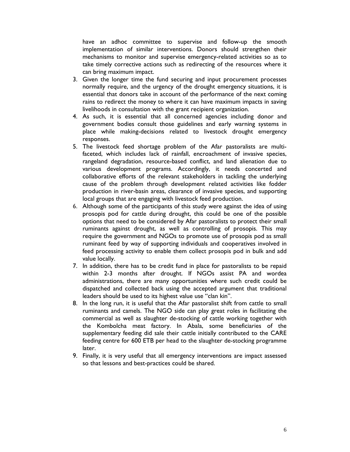have an adhoc committee to supervise and follow-up the smooth implementation of similar interventions. Donors should strengthen their mechanisms to monitor and supervise emergency-related activities so as to take timely corrective actions such as redirecting of the resources where it can bring maximum impact.

- 3. Given the longer time the fund securing and input procurement processes normally require, and the urgency of the drought emergency situations, it is essential that donors take in account of the performance of the next coming rains to redirect the money to where it can have maximum impacts in saving livelihoods in consultation with the grant recipient organization.
- 4. As such, it is essential that all concerned agencies including donor and government bodies consult those guidelines and early warning systems in place while making-decisions related to livestock drought emergency responses.
- 5. The livestock feed shortage problem of the Afar pastoralists are multifaceted, which includes lack of rainfall, encroachment of invasive species, rangeland degradation, resource-based conflict, and land alienation due to various development programs. Accordingly, it needs concerted and collaborative efforts of the relevant stakeholders in tackling the underlying cause of the problem through development related activities like fodder production in river-basin areas, clearance of invasive species, and supporting local groups that are engaging with livestock feed production.
- 6. Although some of the participants of this study were against the idea of using prosopis pod for cattle during drought, this could be one of the possible options that need to be considered by Afar pastoralists to protect their small ruminants against drought, as well as controlling of prosopis. This may require the government and NGOs to promote use of prosopis pod as small ruminant feed by way of supporting individuals and cooperatives involved in feed processing activity to enable them collect prosopis pod in bulk and add value locally.
- 7. In addition, there has to be credit fund in place for pastoralists to be repaid within 2-3 months after drought. If NGOs assist PA and wordea administrations, there are many opportunities where such credit could be dispatched and collected back using the accepted argument that traditional leaders should be used to its highest value use "clan kin".
- 8. In the long run, it is useful that the Afar pastoralist shift from cattle to small ruminants and camels. The NGO side can play great roles in facilitating the commercial as well as slaughter de-stocking of cattle working together with the Kombolcha meat factory. In Abala, some beneficiaries of the supplementary feeding did sale their cattle initially contributed to the CARE feeding centre for 600 ETB per head to the slaughter de-stocking programme later.
- 9. Finally, it is very useful that all emergency interventions are impact assessed so that lessons and best-practices could be shared.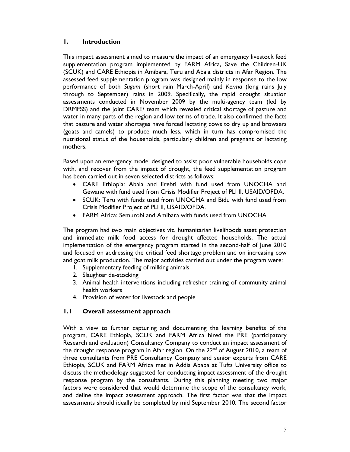#### **1. Introduction**

This impact assessment aimed to measure the impact of an emergency livestock feed supplementation program implemented by FARM Africa, Save the Children-UK (SCUK) and CARE Ethiopia in Amibara, Teru and Abala districts in Afar Region. The assessed feed supplementation program was designed mainly in response to the low performance of both *Sugum* (short rain March-April) and *Kerma* (long rains July through to September) rains in 2009. Specifically, the rapid drought situation assessments conducted in November 2009 by the multi-agency team (led by DRMFSS) and the joint CARE/ team which revealed critical shortage of pasture and water in many parts of the region and low terms of trade. It also confirmed the facts that pasture and water shortages have forced lactating cows to dry up and browsers (goats and camels) to produce much less, which in turn has compromised the nutritional status of the households, particularly children and pregnant or lactating mothers.

Based upon an emergency model designed to assist poor vulnerable households cope with, and recover from the impact of drought, the feed supplementation program has been carried out in seven selected districts as follows:

- CARE Ethiopia: Abala and Erebti with fund used from UNOCHA and Gewane with fund used from Crisis Modifier Project of PLI II, USAID/OFDA.
- SCUK: Teru with funds used from UNOCHA and Bidu with fund used from Crisis Modifier Project of PLI II, USAID/OFDA.
- FARM Africa: Semurobi and Amibara with funds used from UNOCHA

The program had two main objectives viz. humanitarian livelihoods asset protection and immediate milk food access for drought affected households. The actual implementation of the emergency program started in the second-half of June 2010 and focused on addressing the critical feed shortage problem and on increasing cow and goat milk production. The major activities carried out under the program were:

- 1. Supplementary feeding of milking animals
- 2. Slaughter de-stocking
- 3. Animal health interventions including refresher training of community animal health workers
- 4. Provision of water for livestock and people

## **1.1 Overall assessment approach**

With a view to further capturing and documenting the learning benefits of the program, CARE Ethiopia, SCUK and FARM Africa hired the PRE (participatory Research and evaluation) Consultancy Company to conduct an impact assessment of the drought response program in Afar region. On the  $22<sup>nd</sup>$  of August 2010, a team of three consultants from PRE Consultancy Company and senior experts from CARE Ethiopia, SCUK and FARM Africa met in Addis Ababa at Tufts University office to discuss the methodology suggested for conducting impact assessment of the drought response program by the consultants. During this planning meeting two major factors were considered that would determine the scope of the consultancy work, and define the impact assessment approach. The first factor was that the impact assessments should ideally be completed by mid September 2010. The second factor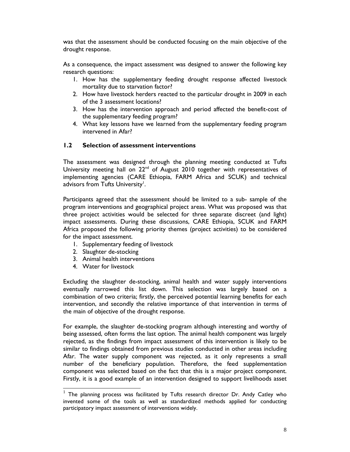was that the assessment should be conducted focusing on the main objective of the drought response.

As a consequence, the impact assessment was designed to answer the following key research questions:

- 1. How has the supplementary feeding drought response affected livestock mortality due to starvation factor?
- 2. How have livestock herders reacted to the particular drought in 2009 in each of the 3 assessment locations?
- 3. How has the intervention approach and period affected the benefit-cost of the supplementary feeding program?
- 4. What key lessons have we learned from the supplementary feeding program intervened in Afar?

#### **1.2 Selection of assessment interventions**

The assessment was designed through the planning meeting conducted at Tufts University meeting hall on 22<sup>nd</sup> of August 2010 together with representatives of implementing agencies (CARE Ethiopia, FARM Africa and SCUK) and technical advisors from Tufts University<sup>1</sup>.

Participants agreed that the assessment should be limited to a sub- sample of the program interventions and geographical project areas. What was proposed was that three project activities would be selected for three separate discreet (and light) impact assessments. During these discussions, CARE Ethiopia, SCUK and FARM Africa proposed the following priority themes (project activities) to be considered for the impact assessment.

- 1. Supplementary feeding of livestock
- 2. Slaughter de-stocking
- 3. Animal health interventions
- 4. Water for livestock

j

Excluding the slaughter de-stocking, animal health and water supply interventions eventually narrowed this list down. This selection was largely based on a combination of two criteria; firstly, the perceived potential learning benefits for each intervention, and secondly the relative importance of that intervention in terms of the main of objective of the drought response.

For example, the slaughter de-stocking program although interesting and worthy of being assessed, often forms the last option. The animal health component was largely rejected, as the findings from impact assessment of this intervention is likely to be similar to findings obtained from previous studies conducted in other areas including Afar. The water supply component was rejected, as it only represents a small number of the beneficiary population. Therefore, the feed supplementation component was selected based on the fact that this is a major project component. Firstly, it is a good example of an intervention designed to support livelihoods asset

 $1$  The planning process was facilitated by Tufts research director Dr. Andy Catley who invented some of the tools as well as standardized methods applied for conducting participatory impact assessment of interventions widely.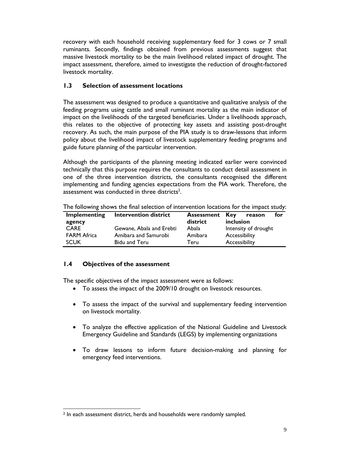recovery with each household receiving supplementary feed for 3 cows or 7 small ruminants. Secondly, findings obtained from previous assessments suggest that massive livestock mortality to be the main livelihood related impact of drought. The impact assessment, therefore, aimed to investigate the reduction of drought-factored livestock mortality.

#### **1.3 Selection of assessment locations**

The assessment was designed to produce a quantitative and qualitative analysis of the feeding programs using cattle and small ruminant mortality as the main indicator of impact on the livelihoods of the targeted beneficiaries. Under a livelihoods approach, this relates to the objective of protecting key assets and assisting post-drought recovery. As such, the main purpose of the PIA study is to draw-lessons that inform policy about the livelihood impact of livestock supplementary feeding programs and guide future planning of the particular intervention.

Although the participants of the planning meeting indicated earlier were convinced technically that this purpose requires the consultants to conduct detail assessment in one of the three intervention districts, the consultants recognised the different implementing and funding agencies expectations from the PIA work. Therefore, the assessment was conducted in three districts<sup>2</sup>.

| Implementing       | <b>Intervention district</b> | <b>Assessment</b> | for<br>Key<br>reason |
|--------------------|------------------------------|-------------------|----------------------|
| agency             |                              | district          | inclusion            |
| <b>CARE</b>        | Gewane, Abala and Erebti     | Abala             | Intensity of drought |
| <b>FARM Africa</b> | Amibara and Samurobi         | Amibara           | Accessibility        |
| <b>SCUK</b>        | <b>Bidu and Teru</b>         | Teru              | Accessibility        |

The following shows the final selection of intervention locations for the impact study:

## **1.4 Objectives of the assessment**

The specific objectives of the impact assessment were as follows:

- To assess the impact of the 2009/10 drought on livestock resources.
- To assess the impact of the survival and supplementary feeding intervention on livestock mortality.
- To analyze the effective application of the National Guideline and Livestock Emergency Guideline and Standards (LEGS) by implementing organizations
- To draw lessons to inform future decision-making and planning for emergency feed interventions.

l 2 In each assessment district, herds and households were randomly sampled.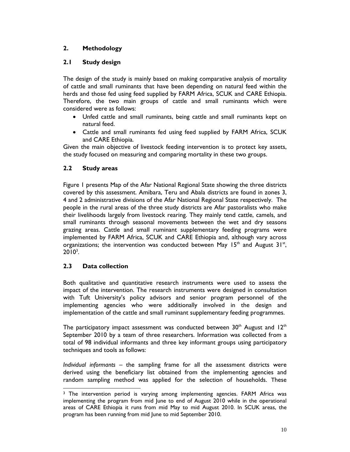## **2. Methodology**

## **2.1 Study design**

The design of the study is mainly based on making comparative analysis of mortality of cattle and small ruminants that have been depending on natural feed within the herds and those fed using feed supplied by FARM Africa, SCUK and CARE Ethiopia. Therefore, the two main groups of cattle and small ruminants which were considered were as follows:

- Unfed cattle and small ruminants, being cattle and small ruminants kept on natural feed.
- Cattle and small ruminants fed using feed supplied by FARM Africa, SCUK and CARE Ethiopia.

Given the main objective of livestock feeding intervention is to protect key assets, the study focused on measuring and comparing mortality in these two groups.

### **2.2 Study areas**

Figure 1 presents Map of the Afar National Regional State showing the three districts covered by this assessment. Amibara, Teru and Abala districts are found in zones 3, 4 and 2 administrative divisions of the Afar National Regional State respectively. The people in the rural areas of the three study districts are Afar pastoralists who make their livelihoods largely from livestock rearing. They mainly tend cattle, camels, and small ruminants through seasonal movements between the wet and dry seasons grazing areas. Cattle and small ruminant supplementary feeding programs were implemented by FARM Africa, SCUK and CARE Ethiopia and, although vary across organizations; the intervention was conducted between May  $15<sup>th</sup>$  and August  $31<sup>st</sup>$ ,  $2010^3$ .

#### **2.3 Data collection**

l

Both qualitative and quantitative research instruments were used to assess the impact of the intervention. The research instruments were designed in consultation with Tuft University's policy advisors and senior program personnel of the implementing agencies who were additionally involved in the design and implementation of the cattle and small ruminant supplementary feeding programmes.

The participatory impact assessment was conducted between  $30<sup>th</sup>$  August and  $12<sup>th</sup>$ September 2010 by a team of three researchers. Information was collected from a total of 98 individual informants and three key informant groups using participatory techniques and tools as follows:

*Individual informants* – the sampling frame for all the assessment districts were derived using the beneficiary list obtained from the implementing agencies and random sampling method was applied for the selection of households. These

<sup>&</sup>lt;sup>3</sup> The intervention period is varying among implementing agencies. FARM Africa was implementing the program from mid June to end of August 2010 while in the operational areas of CARE Ethiopia it runs from mid May to mid August 2010. In SCUK areas, the program has been running from mid June to mid September 2010.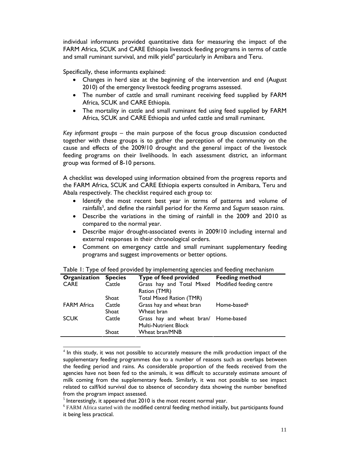individual informants provided quantitative data for measuring the impact of the FARM Africa, SCUK and CARE Ethiopia livestock feeding programs in terms of cattle and small ruminant survival, and milk yield<sup>4</sup> particularly in Amibara and Teru.

Specifically, these informants explained:

- Changes in herd size at the beginning of the intervention and end (August 2010) of the emergency livestock feeding programs assessed.
- The number of cattle and small ruminant receiving feed supplied by FARM Africa, SCUK and CARE Ethiopia.
- The mortality in cattle and small ruminant fed using feed supplied by FARM Africa, SCUK and CARE Ethiopia and unfed cattle and small ruminant.

*Key informant groups* – the main purpose of the focus group discussion conducted together with these groups is to gather the perception of the community on the cause and effects of the 2009/10 drought and the general impact of the livestock feeding programs on their livelihoods. In each assessment district, an informant group was formed of 8-10 persons.

A checklist was developed using information obtained from the progress reports and the FARM Africa, SCUK and CARE Ethiopia experts consulted in Amibara, Teru and Abala respectively. The checklist required each group to:

- Identify the most recent best year in terms of patterns and volume of rainfalls<sup>5</sup>, and define the rainfall period for the *Kerma* and *Sugum* season rains.
- Describe the variations in the timing of rainfall in the 2009 and 2010 as compared to the normal year.
- Describe major drought-associated events in 2009/10 including internal and external responses in their chronological orders.
- Comment on emergency cattle and small ruminant supplementary feeding programs and suggest improvements or better options.

| <b>Species</b> | Type of feed provided                | <b>Feeding method</b>   |
|----------------|--------------------------------------|-------------------------|
| Cattle         | Grass hay and Total Mixed            | Modified feeding centre |
|                | Ration (TMR)                         |                         |
| Shoat          | Total Mixed Ration (TMR)             |                         |
| Cattle         | Grass hay and wheat bran             | Home-based <sup>6</sup> |
| Shoat          | Wheat bran                           |                         |
| Cattle         | Grass hay and wheat bran/ Home-based |                         |
|                | <b>Multi-Nutrient Block</b>          |                         |
| Shoat          | Wheat bran/MNB                       |                         |
|                |                                      |                         |

| Table 1: Type of feed provided by implementing agencies and feeding mechanism |
|-------------------------------------------------------------------------------|
|-------------------------------------------------------------------------------|

l

 $4$  In this study, it was not possible to accurately measure the milk production impact of the supplementary feeding programmes due to a number of reasons such as overlaps between the feeding period and rains. As considerable proportion of the feeds received from the agencies have not been fed to the animals, it was difficult to accurately estimate amount of milk coming from the supplementary feeds. Similarly, it was not possible to see impact related to calf/kid survival due to absence of secondary data showing the number benefited from the program impact assessed.

 $<sup>5</sup>$  Interestingly, it appeared that 2010 is the most recent normal year.</sup>

 $6$  FARM Africa started with the modified central feeding method initially, but participants found it being less practical.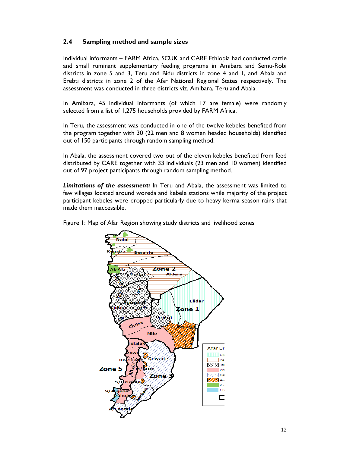## **2.4 Sampling method and sample sizes**

Individual informants – FARM Africa, SCUK and CARE Ethiopia had conducted cattle and small ruminant supplementary feeding programs in Amibara and Semu-Robi districts in zone 5 and 3, Teru and Bidu districts in zone 4 and 1, and Abala and Erebti districts in zone 2 of the Afar National Regional States respectively. The assessment was conducted in three districts viz. Amibara, Teru and Abala.

In Amibara, 45 individual informants (of which 17 are female) were randomly selected from a list of 1,275 households provided by FARM Africa.

In Teru, the assessment was conducted in one of the twelve kebeles benefited from the program together with 30 (22 men and 8 women headed households) identified out of 150 participants through random sampling method.

In Abala, the assessment covered two out of the eleven kebeles benefited from feed distributed by CARE together with 33 individuals (23 men and 10 women) identified out of 97 project participants through random sampling method.

*Limitations of the assessment:* In Teru and Abala, the assessment was limited to few villages located around woreda and kebele stations while majority of the project participant kebeles were dropped particularly due to heavy kerma season rains that made them inaccessible.

Figure 1: Map of Afar Region showing study districts and livelihood zones

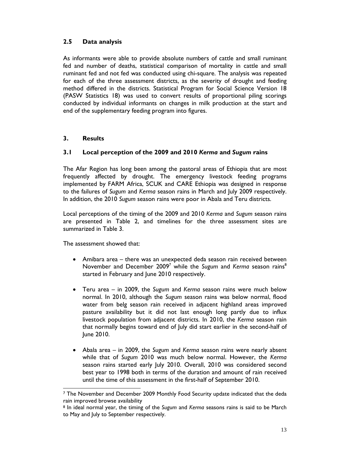## **2.5 Data analysis**

As informants were able to provide absolute numbers of cattle and small ruminant fed and number of deaths, statistical comparison of mortality in cattle and small ruminant fed and not fed was conducted using chi-square. The analysis was repeated for each of the three assessment districts, as the severity of drought and feeding method differed in the districts. Statistical Program for Social Science Version 18 (PASW Statistics 18) was used to convert results of proportional piling scorings conducted by individual informants on changes in milk production at the start and end of the supplementary feeding program into figures.

#### **3. Results**

## **3.1 Local perception of the 2009 and 2010** *Kerma* **and** *Sugum* **rains**

The Afar Region has long been among the pastoral areas of Ethiopia that are most frequently affected by drought. The emergency livestock feeding programs implemented by FARM Africa, SCUK and CARE Ethiopia was designed in response to the failures of *Sugum* and *Kerma* season rains in March and July 2009 respectively. In addition, the 2010 *Sugum* season rains were poor in Abala and Teru districts.

Local perceptions of the timing of the 2009 and 2010 *Kerma* and *Sugum* season rains are presented in Table 2, and timelines for the three assessment sites are summarized in Table 3.

The assessment showed that:

- Amibara area there was an unexpected deda season rain received between November and December 2009<sup>7</sup> while the Sugum and Kerma season rains<sup>8</sup> started in February and June 2010 respectively.
- Teru area in 2009, the *Sugum* and *Kerma* season rains were much below normal. In 2010, although the *Sugum* season rains was below normal, flood water from belg season rain received in adjacent highland areas improved pasture availability but it did not last enough long partly due to influx livestock population from adjacent districts. In 2010, the *Kerma* season rain that normally begins toward end of July did start earlier in the second-half of June 2010.
- Abala area in 2009, the *Sugum* and *Kerma* season rains were nearly absent while that of *Sugum* 2010 was much below normal. However, the *Kerma* season rains started early July 2010. Overall, 2010 was considered second best year to 1998 both in terms of the duration and amount of rain received until the time of this assessment in the first-half of September 2010.

l 7 The November and December 2009 Monthly Food Security update indicated that the deda rain improved browse availability

<sup>8</sup> In ideal normal year, the timing of the *Sugum* and *Kerma* seasons rains is said to be March to May and July to September respectively.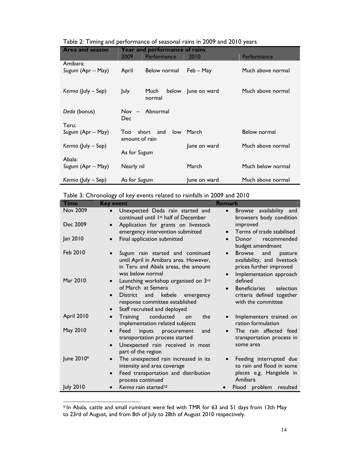| <b>Area and season</b> | <b>Year and performance of rains</b> |               |              |                   |
|------------------------|--------------------------------------|---------------|--------------|-------------------|
|                        | 2009                                 | Performance   | 2010         | Performance       |
| Amibara:               |                                      |               |              |                   |
| Sugum (Apr – May)      | April                                | Below normal  | Feb – May    | Much above normal |
|                        |                                      |               |              |                   |
| Kerma (July - Sep)     | July                                 | Much<br>below | June on ward | Much above normal |
|                        |                                      | normal        |              |                   |
|                        |                                      |               |              |                   |
| Deda (bonus)           | $Nov -$                              | Abnormal      |              |                   |
|                        | <b>Dec</b>                           |               |              |                   |
| Teru:                  |                                      |               |              |                   |
| Sugum (Apr – May)      | short<br>Too                         | and<br>low    | March        | Below normal      |
|                        | amount of rain                       |               |              |                   |
| Kerma (July – Sep)     |                                      |               | June on ward | Much above normal |
|                        | As for Sugum                         |               |              |                   |
| Abala:                 |                                      |               |              |                   |
| Sugum (Apr – May)      | Nearly nil                           |               | March        | Much below normal |
|                        |                                      |               |              |                   |
| Kerma (July – Sep)     | As for Sugum                         |               | June on ward | Much above normal |

| Table 2: Timing and performance of seasonal rains in 2009 and 2010 years |  |  |  |
|--------------------------------------------------------------------------|--|--|--|
|                                                                          |  |  |  |

| Table 3: Chronology of key events related to rainfalls in 2009 and 2010 |  |  |  |
|-------------------------------------------------------------------------|--|--|--|
|-------------------------------------------------------------------------|--|--|--|

| <b>Time</b>            | <b>Key event</b>                                                                                                                                          | <b>Remark</b>                                                                                                                                  |
|------------------------|-----------------------------------------------------------------------------------------------------------------------------------------------------------|------------------------------------------------------------------------------------------------------------------------------------------------|
| <b>Nov 2009</b>        | Unexpected Deda rain started and<br>continued until 1 <sup>st</sup> half of December                                                                      | availability and<br><b>Browse</b><br>$\bullet$<br>browsers body condition                                                                      |
| Dec 2009               | Application for grants on livestock<br>$\bullet$<br>emergency intervention submitted                                                                      | improved<br>Terms of trade stabilised<br>$\bullet$                                                                                             |
| Jan 2010               | Final application submitted                                                                                                                               | recommended<br>Donor<br>budget amendment                                                                                                       |
| Feb 2010               | Sugum rain started and continued<br>until April in Amibara area. However,<br>in Teru and Abala areas, the amount<br>was below normal                      | <b>Browse</b><br>and<br>pasture<br>$\bullet$<br>availability, and livestock<br>prices further improved<br>Implementation approach<br>$\bullet$ |
| Mar 2010               | Launching workshop organised on 3rd<br>$\bullet$<br>of March at Semera<br>kebele<br><b>District</b><br>and<br>emergency<br>response committee established | defined<br><b>Beneficiaries</b><br>selection<br>$\bullet$<br>criteria defined together<br>with the committee                                   |
|                        | Staff recruited and deployed<br>$\bullet$                                                                                                                 |                                                                                                                                                |
| April 2010             | conducted<br>Training<br>the<br>on<br>$\bullet$<br>implementation related subjects                                                                        | Implementers trained on<br>ration formulation                                                                                                  |
| May 2010               | Feed<br>inputs<br>procurement<br>and<br>transportation process started<br>Unexpected rain received in most<br>$\bullet$<br>part of the region             | The rain affected feed<br>transportation process in<br>some area                                                                               |
| June 2010 <sup>9</sup> | The unexpected rain increased in its<br>intensity and area coverage<br>Feed transportation and distribution<br>$\bullet$<br>process continued             | Feeding interrupted due<br>to rain and flood in some<br>places e.g. Hangalele in<br>Amibara                                                    |
| <b>July 2010</b>       | Kerma rain started <sup>10</sup>                                                                                                                          | Flood problem<br>resulted                                                                                                                      |

l 9 In Abala, cattle and small ruminant were fed with TMR for 63 and 51 days from 13th May to 23rd of August, and from 8th of July to 28th of August 2010 respectively.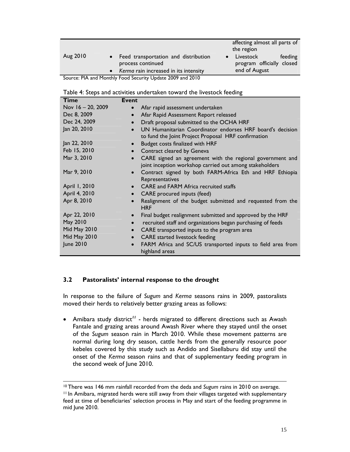|                 |                                                                                                        | affecting almost all parts of<br>the region                        |
|-----------------|--------------------------------------------------------------------------------------------------------|--------------------------------------------------------------------|
| Aug 2010        | • Feed transportation and distribution<br>process continued<br>• Kerma rain increased in its intensity | Livestock<br>feeding<br>program officially closed<br>end of August |
| <b>DIA</b><br>- | $\sim$ $\sim$<br>$\blacksquare$<br>.                                                                   |                                                                    |

Source: PIA and Monthly Food Security Update 2009 and 2010

|  |  | Table 4: Steps and activities undertaken toward the livestock feeding |  |
|--|--|-----------------------------------------------------------------------|--|
|  |  |                                                                       |  |

| Time                | <b>Event</b>                                                                                                                      |
|---------------------|-----------------------------------------------------------------------------------------------------------------------------------|
| Nov 16 - 20, 2009   | Afar rapid assessment undertaken<br>$\bullet$                                                                                     |
| Dec 8, 2009         | Afar Rapid Assessment Report released<br>$\bullet$                                                                                |
| Dec 24, 2009        | Draft proposal submitted to the OCHA HRF<br>$\bullet$                                                                             |
| Jan 20, 2010        | UN Humanitarian Coordinator endorses HRF board's decision<br>$\bullet$<br>to fund the Joint Project Proposal HRF confirmation     |
| Jan 22, 2010        | Budget costs finalized with HRF<br>$\bullet$                                                                                      |
| Feb 15, 2010        | Contract cleared by Geneva<br>$\bullet$                                                                                           |
| Mar 3, 2010         | CARE signed an agreement with the regional government and<br>$\bullet$<br>joint inception workshop carried out among stakeholders |
| Mar 9, 2010         | Contract signed by both FARM-Africa Eth and HRF Ethiopia<br>Representatives                                                       |
| April 1, 2010       | CARE and FARM Africa recruited staffs<br>$\bullet$                                                                                |
| April 4, 2010       | CARE procured inputs (feed)<br>$\bullet$                                                                                          |
| Apr 8, 2010         | Realignment of the budget submitted and requested from the<br>$\bullet$<br><b>HRF</b>                                             |
| Apr 22, 2010        | Final budget realignment submitted and approved by the HRF<br>$\bullet$                                                           |
| May 2010            | recruited staff and organizations began purchasing of feeds<br>$\bullet$                                                          |
| <b>Mid May 2010</b> | CARE transported inputs to the program area<br>$\bullet$                                                                          |
| <b>Mid May 2010</b> | <b>CARE</b> started livestock feeding<br>$\bullet$                                                                                |
| June 2010           | FARM Africa and SC/US transported inputs to field area from<br>$\bullet$<br>highland areas                                        |

#### **3.2 Pastoralists' internal response to the drought**

-

In response to the failure of *Sugum* and *Kerma* seasons rains in 2009, pastoralists moved their herds to relatively better grazing areas as follows:

• Amibara study district*<sup>11</sup>* - herds migrated to different directions such as Awash Fantale and grazing areas around Awash River where they stayed until the onset of the *Sugum* season rain in March 2010. While these movement patterns are normal during long dry season, cattle herds from the generally resource poor kebeles covered by this study such as Andido and Sisellaburu did stay until the onset of the *Kerma* season rains and that of supplementary feeding program in the second week of June 2010.

<sup>10</sup> There was 146 mm rainfall recorded from the deda and *Sugum* rains in 2010 on average. 11 In Amibara, migrated herds were still away from their villages targeted with supplementary feed at time of beneficiaries' selection process in May and start of the feeding programme in mid June 2010.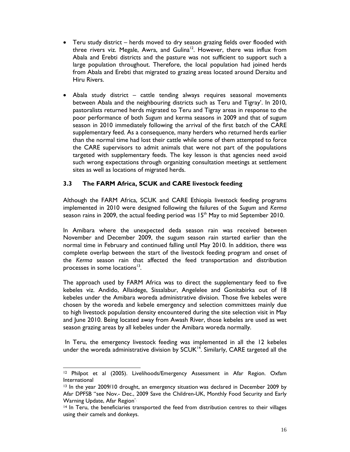- Teru study district herds moved to dry season grazing fields over flooded with three rivers viz. Megale, Awra, and Gulina<sup>12</sup>. However, there was influx from Abala and Erebti districts and the pasture was not sufficient to support such a large population throughout. Therefore, the local population had joined herds from Abala and Erebti that migrated to grazing areas located around Deraitu and Hiru Rivers.
- Abala study district cattle tending always requires seasonal movements between Abala and the neighbouring districts such as Teru and Tigray'. In 2010, pastoralists returned herds migrated to Teru and Tigray areas in response to the poor performance of both *Sugum* and kerma seasons in 2009 and that of sugum season in 2010 immediately following the arrival of the first batch of the CARE supplementary feed. As a consequence, many herders who returned herds earlier than the normal time had lost their cattle while some of them attempted to force the CARE supervisors to admit animals that were not part of the populations targeted with supplementary feeds. The key lesson is that agencies need avoid such wrong expectations through organizing consultation meetings at settlement sites as well as locations of migrated herds.

### **3.3 The FARM Africa, SCUK and CARE livestock feeding**

Although the FARM Africa, SCUK and CARE Ethiopia livestock feeding programs implemented in 2010 were designed following the failures of the *Sugum* and *Kerma* season rains in 2009, the actual feeding period was  $15<sup>th</sup>$  May to mid September 2010.

In Amibara where the unexpected deda season rain was received between November and December 2009, the sugum season rain started earlier than the normal time in February and continued falling until May 2010. In addition, there was complete overlap between the start of the livestock feeding program and onset of the *Kerma* season rain that affected the feed transportation and distribution processes in some locations $13$ .

The approach used by FARM Africa was to direct the supplementary feed to five kebeles viz. Andido, Allaidege, Sissalabur, Angelelee and Gonitabirka out of 18 kebeles under the Amibara woreda administrative division. Those five kebeles were chosen by the woreda and kebele emergency and selection committees mainly due to high livestock population density encountered during the site selection visit in May and June 2010. Being located away from Awash River, those kebeles are used as wet season grazing areas by all kebeles under the Amibara woreda normally.

 In Teru, the emergency livestock feeding was implemented in all the 12 kebeles under the woreda administrative division by  $SCUK<sup>14</sup>$ . Similarly, CARE targeted all the

l <sup>12</sup> Philpot et al (2005). Livelihoods/Emergency Assessment in Afar Region. Oxfam International

<sup>&</sup>lt;sup>13</sup> In the year 2009/10 drought, an emergency situation was declared in December 2009 by Afar DPFSB "see Nov.- Dec., 2009 Save the Children-UK, Monthly Food Security and Early Warning Update, Afar Region".

<sup>&</sup>lt;sup>14</sup> In Teru, the beneficiaries transported the feed from distribution centres to their villages using their camels and donkeys.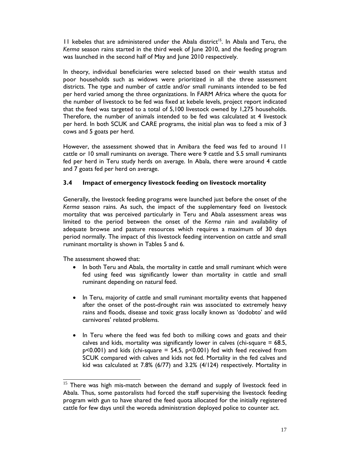11 kebeles that are administered under the Abala district<sup>15</sup>. In Abala and Teru, the *Kerma* season rains started in the third week of June 2010, and the feeding program was launched in the second half of May and June 2010 respectively.

In theory, individual beneficiaries were selected based on their wealth status and poor households such as widows were prioritized in all the three assessment districts. The type and number of cattle and/or small ruminants intended to be fed per herd varied among the three organizations. In FARM Africa where the quota for the number of livestock to be fed was fixed at kebele levels, project report indicated that the feed was targeted to a total of 5,100 livestock owned by 1,275 households. Therefore, the number of animals intended to be fed was calculated at 4 livestock per herd. In both SCUK and CARE programs, the initial plan was to feed a mix of 3 cows and 5 goats per herd.

However, the assessment showed that in Amibara the feed was fed to around 11 cattle or 10 small ruminants on average. There were 9 cattle and 5.5 small ruminants fed per herd in Teru study herds on average. In Abala, there were around 4 cattle and 7 goats fed per herd on average.

### **3.4 Impact of emergency livestock feeding on livestock mortality**

Generally, the livestock feeding programs were launched just before the onset of the *Kerma* season rains. As such, the impact of the supplementary feed on livestock mortality that was perceived particularly in Teru and Abala assessment areas was limited to the period between the onset of the *Kerma* rain and availability of adequate browse and pasture resources which requires a maximum of 30 days period normally. The impact of this livestock feeding intervention on cattle and small ruminant mortality is shown in Tables 5 and 6.

The assessment showed that:

- In both Teru and Abala, the mortality in cattle and small ruminant which were fed using feed was significantly lower than mortality in cattle and small ruminant depending on natural feed.
- In Teru, majority of cattle and small ruminant mortality events that happened after the onset of the post-drought rain was associated to extremely heavy rains and floods, disease and toxic grass locally known as 'dodobto' and wild carnivores' related problems.
- In Teru where the feed was fed both to milking cows and goats and their calves and kids, mortality was significantly lower in calves (chi-square  $= 68.5$ ,  $p$ <0.001) and kids (chi-square = 54.5,  $p$ <0.001) fed with feed received from SCUK compared with calves and kids not fed. Mortality in the fed calves and kid was calculated at 7.8% (6/77) and 3.2% (4/124) respectively. Mortality in

j  $15$  There was high mis-match between the demand and supply of livestock feed in Abala. Thus, some pastoralists had forced the staff supervising the livestock feeding program with gun to have shared the feed quota allocated for the initially registered cattle for few days until the woreda administration deployed police to counter act.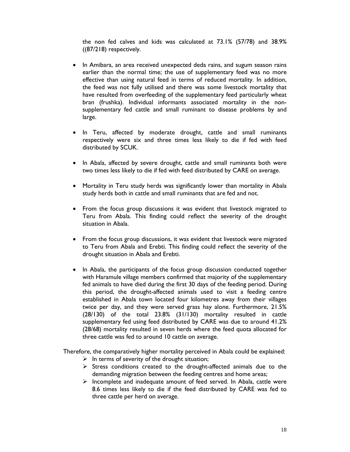the non fed calves and kids was calculated at 73.1% (57/78) and 38.9% ((87/218) respectively.

- In Amibara, an area received unexpected deda rains, and sugum season rains earlier than the normal time; the use of supplementary feed was no more effective than using natural feed in terms of reduced mortality. In addition, the feed was not fully utilised and there was some livestock mortality that have resulted from overfeeding of the supplementary feed particularly wheat bran (frushka). Individual informants associated mortality in the nonsupplementary fed cattle and small ruminant to disease problems by and large.
- In Teru, affected by moderate drought, cattle and small ruminants respectively were six and three times less likely to die if fed with feed distributed by SCUK.
- In Abala, affected by severe drought, cattle and small ruminants both were two times less likely to die if fed with feed distributed by CARE on average.
- Mortality in Teru study herds was significantly lower than mortality in Abala study herds both in cattle and small ruminants that are fed and not.
- From the focus group discussions it was evident that livestock migrated to Teru from Abala. This finding could reflect the severity of the drought situation in Abala.
- From the focus group discussions, it was evident that livestock were migrated to Teru from Abala and Erebti. This finding could reflect the severity of the drought situation in Abala and Erebti.
- In Abala, the participants of the focus group discussion conducted together with Haramule village members confirmed that majority of the supplementary fed animals to have died during the first 30 days of the feeding period. During this period, the drought-affected animals used to visit a feeding centre established in Abala town located four kilometres away from their villages twice per day, and they were served grass hay alone. Furthermore, 21.5% (28/130) of the total 23.8% (31/130) mortality resulted in cattle supplementary fed using feed distributed by CARE was due to around 41.2% (28/68) mortality resulted in seven herds where the feed quota allocated for three cattle was fed to around 10 cattle on average.

Therefore, the comparatively higher mortality perceived in Abala could be explained:

- $\triangleright$  In terms of severity of the drought situation;
- $\triangleright$  Stress conditions created to the drought-affected animals due to the demanding migration between the feeding centres and home areas;
- $\triangleright$  Incomplete and inadequate amount of feed served. In Abala, cattle were 8.6 times less likely to die if the feed distributed by CARE was fed to three cattle per herd on average.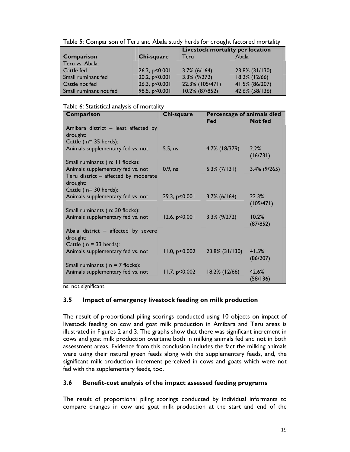Table 5: Comparison of Teru and Abala study herds for drought factored mortality

|                        |                   | Livestock mortality per location |                |  |
|------------------------|-------------------|----------------------------------|----------------|--|
| Comparison             | Chi-square        | Teru                             | Abala          |  |
| Teru vs. Abala:        |                   |                                  |                |  |
| Cattle fed             | 26.3, $p < 0.001$ | $3.7\%$ (6/164)                  | 23.8% (31/130) |  |
| Small ruminant fed     | 20.2, $p < 0.001$ | $3.3\%$ (9/272)                  | 18.2% (12/66)  |  |
| Cattle not fed         | 26.3, $p < 0.001$ | 22.3% (105/471)                  | 41.5% (86/207) |  |
| Small ruminant not fed | 98.5, p<0.001     | 10.2% (87/852)                   | 42.6% (58/136) |  |

#### Table 6: Statistical analysis of mortality

| Comparison                                                                     | Chi-square      | Percentage of animals died |                    |
|--------------------------------------------------------------------------------|-----------------|----------------------------|--------------------|
|                                                                                |                 | Fed                        | <b>Not fed</b>     |
| Amibara district - least affected by<br>drought:                               |                 |                            |                    |
| Cattle $(n=35 \text{ herds})$ :                                                |                 |                            |                    |
| Animals supplementary fed vs. not                                              | 5.5, ns         | 4.7% (18/379)              | 2.2%<br>(16/731)   |
| Small ruminants (n: 11 flocks):                                                |                 |                            |                    |
| Animals supplementary fed vs. not                                              | $0.9$ , ns      | $5.3\%$ (7/131)            | $3.4\%$ (9/265)    |
| Teru district - affected by moderate<br>drought:                               |                 |                            |                    |
| Cattle $(n=30 \text{ herds})$ :                                                |                 |                            |                    |
| Animals supplementary fed vs. not                                              | 29.3, p<0.001   | $3.7\%$ (6/164)            | 22.3%<br>(105/471) |
| Small ruminants (n: 30 flocks):                                                |                 |                            |                    |
| Animals supplementary fed vs. not                                              | 12.6, p < 0.001 | $3.3\%$ (9/272)            | 10.2%<br>(87/852)  |
| Abala district $-$ affected by severe<br>drought:<br>Cattle ( $n = 33$ herds): |                 |                            |                    |
| Animals supplementary fed vs. not                                              | 11.0, p<0.002   | 23.8% (31/130)             | 41.5%<br>(86/207)  |
| Small ruminants ( $n = 7$ flocks):                                             |                 |                            |                    |
| Animals supplementary fed vs. not                                              | 11.7, p < 0.002 | 18.2% (12/66)              | 42.6%<br>(58/136)  |

ns: not significant

#### **3.5 Impact of emergency livestock feeding on milk production**

The result of proportional piling scorings conducted using 10 objects on impact of livestock feeding on cow and goat milk production in Amibara and Teru areas is illustrated in Figures 2 and 3. The graphs show that there was significant increment in cows and goat milk production overtime both in milking animals fed and not in both assessment areas. Evidence from this conclusion includes the fact the milking animals were using their natural green feeds along with the supplementary feeds, and, the significant milk production increment perceived in cows and goats which were not fed with the supplementary feeds, too.

#### **3.6 Benefit-cost analysis of the impact assessed feeding programs**

The result of proportional piling scorings conducted by individual informants to compare changes in cow and goat milk production at the start and end of the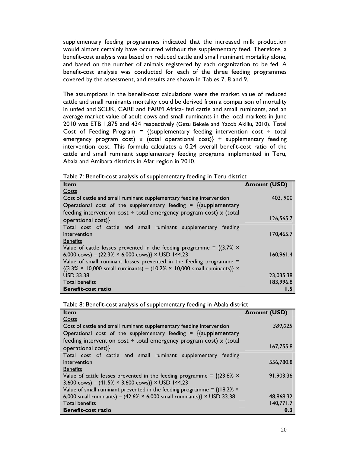supplementary feeding programmes indicated that the increased milk production would almost certainly have occurred without the supplementary feed. Therefore, a benefit-cost analysis was based on reduced cattle and small ruminant mortality alone, and based on the number of animals registered by each organization to be fed. A benefit-cost analysis was conducted for each of the three feeding programmes covered by the assessment, and results are shown in Tables 7, 8 and 9.

The assumptions in the benefit-cost calculations were the market value of reduced cattle and small ruminants mortality could be derived from a comparison of mortality in unfed and SCUK, CARE and FARM Africa- fed cattle and small ruminants, and an average market value of adult cows and small ruminants in the local markets in June 2010 was ETB 1,875 and 434 respectively (Gezu Bekele and Yacob Aklilu, 2010). Total Cost of Feeding Program =  $\{(supplementary feeding intervention cost \div total$ emergency program cost) x (total operational cost)} + supplementary feeding intervention cost. This formula calculates a 0.24 overall benefit-cost ratio of the cattle and small ruminant supplementary feeding programs implemented in Teru, Abala and Amibara districts in Afar region in 2010.

|  | Table 7: Benefit-cost analysis of supplementary feeding in Teru district |  |  |  |  |
|--|--------------------------------------------------------------------------|--|--|--|--|
|--|--------------------------------------------------------------------------|--|--|--|--|

| <b>Item</b>                                                                                                | <b>Amount (USD)</b> |
|------------------------------------------------------------------------------------------------------------|---------------------|
| Costs                                                                                                      |                     |
| Cost of cattle and small ruminant supplementary feeding intervention                                       | 403, 900            |
| Operational cost of the supplementary feeding = $\{$ (supplementary                                        |                     |
| feeding intervention cost $\div$ total emergency program cost) x (total                                    |                     |
| operational cost)}                                                                                         | 126,565.7           |
| Total cost of cattle and small ruminant supplementary<br>feeding                                           |                     |
| intervention                                                                                               | 170,465.7           |
| <b>Benefits</b>                                                                                            |                     |
| Value of cattle losses prevented in the feeding programme = $\{(3.7\% \times$                              |                     |
| 6,000 cows) - $(22.3\% \times 6,000 \text{ cows}) \times \text{USD}$ 144.23                                | 160,961.4           |
| Value of small ruminant losses prevented in the feeding programme =                                        |                     |
| $\{(3.3\% \times 10,000 \text{ small ruminants}) - (10.2\% \times 10,000 \text{ small ruminants})\}\times$ |                     |
| <b>USD 33.38</b>                                                                                           | 23,035.38           |
| <b>Total benefits</b>                                                                                      | 183,996.8           |
| <b>Benefit-cost ratio</b>                                                                                  | l .5                |

Table 8: Benefit-cost analysis of supplementary feeding in Abala district

| <b>Item</b>                                                                         | <b>Amount (USD)</b> |
|-------------------------------------------------------------------------------------|---------------------|
| Costs                                                                               |                     |
| Cost of cattle and small ruminant supplementary feeding intervention                | 389,025             |
| Operational cost of the supplementary feeding = $\{(supplementary$                  |                     |
| feeding intervention cost $\div$ total emergency program cost) x (total             |                     |
| operational cost)}                                                                  | 167,755.8           |
| Total cost of cattle and small ruminant supplementary<br>feeding                    |                     |
| intervention                                                                        | 556,780.8           |
| <b>Benefits</b>                                                                     |                     |
| Value of cattle losses prevented in the feeding programme = $\{(23.8\% \times$      | 91,903.36           |
| 3,600 cows) - $(41.5\% \times 3,600 \text{ cows}) \times \text{USD}$ 144.23         |                     |
| Value of small ruminant prevented in the feeding programme = $\{(18.2\% \times$     |                     |
| 6,000 small ruminants) - (42.6% $\times$ 6,000 small ruminants)} $\times$ USD 33.38 | 48,868.32           |
| <b>Total benefits</b>                                                               | 140,771.7           |
| <b>Benefit-cost ratio</b>                                                           | 0.3                 |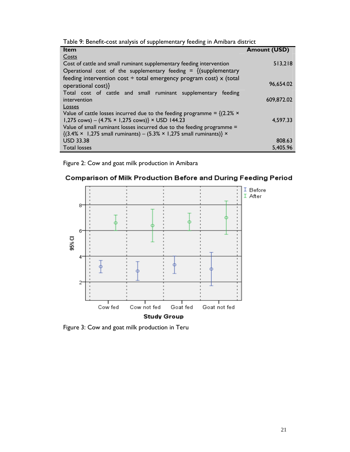| Table 9: Benefit-cost analysis of supplementary feeding in Amibara district |  |  |
|-----------------------------------------------------------------------------|--|--|
|                                                                             |  |  |

| <b>Item</b>                                                                                             | <b>Amount (USD)</b> |
|---------------------------------------------------------------------------------------------------------|---------------------|
| Costs                                                                                                   |                     |
| Cost of cattle and small ruminant supplementary feeding intervention                                    | 513,218             |
| Operational cost of the supplementary feeding = $\{$ (supplementary                                     |                     |
| feeding intervention cost $\div$ total emergency program cost) x (total                                 |                     |
| operational cost)}                                                                                      | 96,654.02           |
| Total cost of cattle and small ruminant supplementary feeding                                           |                     |
| intervention                                                                                            | 609,872.02          |
| <b>Losses</b>                                                                                           |                     |
| Value of cattle losses incurred due to the feeding programme = $\{(2.2\% \times$                        |                     |
| 1,275 cows) – $(4.7\% \times 1,275 \text{ cows})$ × USD 144.23                                          | 4,597.33            |
| Value of small ruminant losses incurred due to the feeding programme =                                  |                     |
| $\{(3.4\% \times 1,275 \text{ small ruminants}) - (5.3\% \times 1,275 \text{ small ruminants})\}\times$ |                     |
| <b>USD 33.38</b>                                                                                        | 808.63              |
| <b>Total losses</b>                                                                                     | 5.405.96            |

Figure 2: Cow and goat milk production in Amibara





Figure 3: Cow and goat milk production in Teru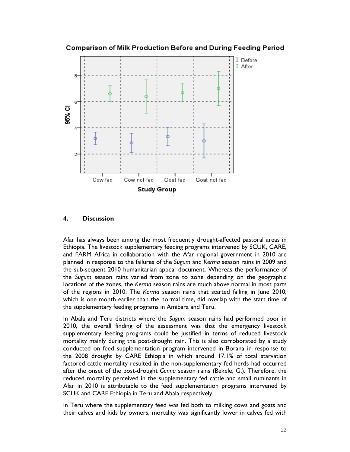



#### **4. Discussion**

Afar has always been among the most frequently drought-affected pastoral areas in Ethiopia. The livestock supplementary feeding programs intervened by SCUK, CARE, and FARM Africa in collaboration with the Afar regional government in 2010 are planned in response to the failures of the *Sugum* and *Kerma* season rains in 2009 and the sub-sequent 2010 humanitarian appeal document. Whereas the performance of the *Sugum* season rains varied from zone to zone depending on the geographic locations of the zones, the *Kerma* season rains are much above normal in most parts of the regions in 2010. The *Kerma* season rains that started falling in June 2010, which is one month earlier than the normal time, did overlap with the start time of the supplementary feeding programs in Amibara and Teru.

In Abala and Teru districts where the *Sugum* season rains had performed poor in 2010, the overall finding of the assessment was that the emergency livestock supplementary feeding programs could be justified in terms of reduced livestock mortality mainly during the post-drought rain. This is also corroborated by a study conducted on feed supplementation program intervened in Borana in response to the 2008 drought by CARE Ethiopia in which around 17.1% of total starvation factored cattle mortality resulted in the non-supplementary fed herds had occurred after the onset of the post-drought *Genna* season rains (Bekele, G.). Therefore, the reduced mortality perceived in the supplementary fed cattle and small ruminants in Afar in 2010 is attributable to the feed supplementation programs intervened by SCUK and CARE Ethiopia in Teru and Abala respectively.

In Teru where the supplementary feed was fed both to milking cows and goats and their calves and kids by owners, mortality was significantly lower in calves fed with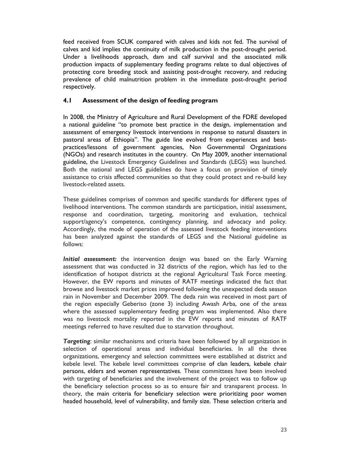feed received from SCUK compared with calves and kids not fed. The survival of calves and kid implies the continuity of milk production in the post-drought period. Under a livelihoods approach, dam and calf survival and the associated milk production impacts of supplementary feeding programs relate to dual objectives of protecting core breeding stock and assisting post-drought recovery, and reducing prevalence of child malnutrition problem in the immediate post-drought period respectively.

#### **4.1 Assessment of the design of feeding program**

In 2008, the Ministry of Agriculture and Rural Development of the FDRE developed a national guideline "to promote best practice in the design, implementation and assessment of emergency livestock interventions in response to natural disasters in pastoral areas of Ethiopia". The guide line evolved from experiences and bestpractices/lessons of government agencies, Non Governmental Organizations (NGOs) and research institutes in the country. On May 2009, another international guideline, the Livestock Emergency Guidelines and Standards (LEGS) was launched. Both the national and LEGS guidelines do have a focus on provision of timely assistance to crisis affected communities so that they could protect and re-build key livestock-related assets.

These guidelines comprises of common and specific standards for different types of livelihood interventions. The common standards are participation, initial assessment, response and coordination, targeting, monitoring and evaluation, technical support/agency's competence, contingency planning, and advocacy and policy. Accordingly, the mode of operation of the assessed livestock feeding interventions has been analyzed against the standards of LEGS and the National guideline as follows:

*Initial assessment:* the intervention design was based on the Early Warning assessment that was conducted in 32 districts of the region, which has led to the identification of hotspot districts at the regional Agricultural Task Force meeting. However, the EW reports and minutes of RATF meetings indicated the fact that browse and livestock market prices improved following the unexpected deda season rain in November and December 2009. The deda rain was received in most part of the region especially Geberiso (zone 3) including Awash Arba, one of the areas where the assessed supplementary feeding program was implemented. Also there was no livestock mortality reported in the EW reports and minutes of RATF meetings referred to have resulted due to starvation throughout.

*Targeting:* similar mechanisms and criteria have been followed by all organization in selection of operational areas and individual beneficiaries. In all the three organizations, emergency and selection committees were established at district and kebele level. The kebele level committees comprise of clan leaders, kebele chair persons, elders and women representatives. These committees have been involved with targeting of beneficiaries and the involvement of the project was to follow up the beneficiary selection process so as to ensure fair and transparent process. In theory, the main criteria for beneficiary selection were prioritizing poor women headed household, level of vulnerability, and family size. These selection criteria and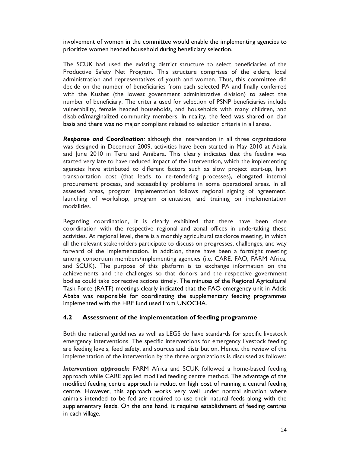involvement of women in the committee would enable the implementing agencies to prioritize women headed household during beneficiary selection.

The SCUK had used the existing district structure to select beneficiaries of the Productive Safety Net Program. This structure comprises of the elders, local administration and representatives of youth and women. Thus, this committee did decide on the number of beneficiaries from each selected PA and finally conferred with the Kushet (the lowest government administrative division) to select the number of beneficiary. The criteria used for selection of PSNP beneficiaries include vulnerability, female headed households, and households with many children, and disabled/marginalized community members. In reality, the feed was shared on clan basis and there was no major compliant related to selection criteria in all areas.

*Response and Coordination:* although the intervention in all three organizations was designed in December 2009, activities have been started in May 2010 at Abala and June 2010 in Teru and Amibara. This clearly indicates that the feeding was started very late to have reduced impact of the intervention, which the implementing agencies have attributed to different factors such as slow project start-up, high transportation cost (that leads to re-tendering processes), elongated internal procurement process, and accessibility problems in some operational areas. In all assessed areas, program implementation follows regional signing of agreement, launching of workshop, program orientation, and training on implementation modalities.

Regarding coordination, it is clearly exhibited that there have been close coordination with the respective regional and zonal offices in undertaking these activities. At regional level, there is a monthly agricultural taskforce meeting, in which all the relevant stakeholders participate to discuss on progresses, challenges, and way forward of the implementation. In addition, there have been a fortnight meeting among consortium members/implementing agencies (i.e. CARE, FAO, FARM Africa, and SCUK). The purpose of this platform is to exchange information on the achievements and the challenges so that donors and the respective government bodies could take corrective actions timely. The minutes of the Regional Agricultural Task Force (RATF) meetings clearly indicated that the FAO emergency unit in Addis Ababa was responsible for coordinating the supplementary feeding programmes implemented with the HRF fund used from UNOCHA.

#### **4.2 Assessment of the implementation of feeding programme**

Both the national guidelines as well as LEGS do have standards for specific livestock emergency interventions. The specific interventions for emergency livestock feeding are feeding levels, feed safety, and sources and distribution. Hence, the review of the implementation of the intervention by the three organizations is discussed as follows:

*Intervention approach:* FARM Africa and SCUK followed a home-based feeding approach while CARE applied modified feeding centre method. The advantage of the modified feeding centre approach is reduction high cost of running a central feeding centre. However, this approach works very well under normal situation where animals intended to be fed are required to use their natural feeds along with the supplementary feeds. On the one hand, it requires establishment of feeding centres in each village.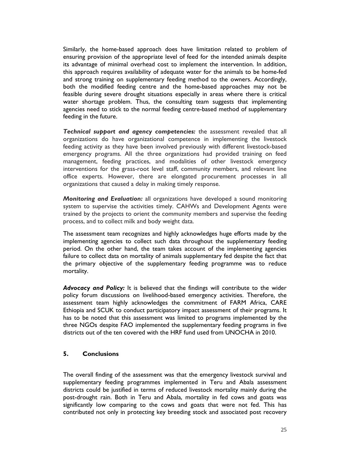Similarly, the home-based approach does have limitation related to problem of ensuring provision of the appropriate level of feed for the intended animals despite its advantage of minimal overhead cost to implement the intervention. In addition, this approach requires availability of adequate water for the animals to be home-fed and strong training on supplementary feeding method to the owners. Accordingly, both the modified feeding centre and the home-based approaches may not be feasible during severe drought situations especially in areas where there is critical water shortage problem. Thus, the consulting team suggests that implementing agencies need to stick to the normal feeding centre-based method of supplementary feeding in the future.

*Technical support and agency competencies:* the assessment revealed that all organizations do have organizational competence in implementing the livestock feeding activity as they have been involved previously with different livestock-based emergency programs. All the three organizations had provided training on feed management, feeding practices, and modalities of other livestock emergency interventions for the grass-root level staff, community members, and relevant line office experts. However, there are elongated procurement processes in all organizations that caused a delay in making timely response.

*Monitoring and Evaluation:* all organizations have developed a sound monitoring system to supervise the activities timely. CAHWs and Development Agents were trained by the projects to orient the community members and supervise the feeding process, and to collect milk and body weight data.

The assessment team recognizes and highly acknowledges huge efforts made by the implementing agencies to collect such data throughout the supplementary feeding period. On the other hand, the team takes account of the implementing agencies failure to collect data on mortality of animals supplementary fed despite the fact that the primary objective of the supplementary feeding programme was to reduce mortality.

*Advocacy and Policy:* It is believed that the findings will contribute to the wider policy forum discussions on livelihood-based emergency activities. Therefore, the assessment team highly acknowledges the commitment of FARM Africa, CARE Ethiopia and SCUK to conduct participatory impact assessment of their programs. It has to be noted that this assessment was limited to programs implemented by the three NGOs despite FAO implemented the supplementary feeding programs in five districts out of the ten covered with the HRF fund used from UNOCHA in 2010.

#### **5. Conclusions**

The overall finding of the assessment was that the emergency livestock survival and supplementary feeding programmes implemented in Teru and Abala assessment districts could be justified in terms of reduced livestock mortality mainly during the post-drought rain. Both in Teru and Abala, mortality in fed cows and goats was significantly low comparing to the cows and goats that were not fed. This has contributed not only in protecting key breeding stock and associated post recovery